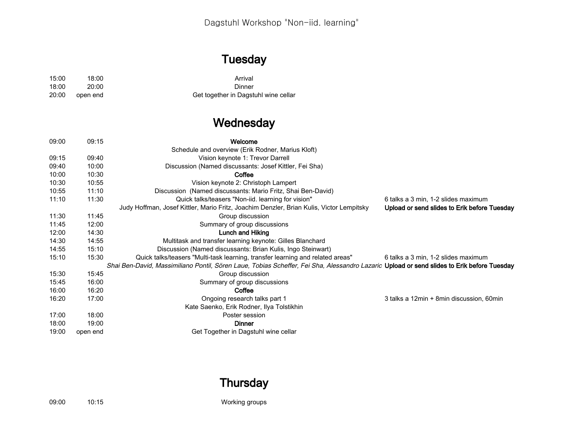# **Tuesday**

| 15:00 | 18:00    | Arrival                              |
|-------|----------|--------------------------------------|
| 18:00 | 20:00    | Dinner                               |
| 20:00 | open end | Get together in Dagstuhl wine cellar |

## **Wednesday**

| 09:00 | 09:15    | Welcome                                                                                                                                    |                                              |
|-------|----------|--------------------------------------------------------------------------------------------------------------------------------------------|----------------------------------------------|
|       |          | Schedule and overview (Erik Rodner, Marius Kloft)                                                                                          |                                              |
| 09:15 | 09:40    | Vision keynote 1: Trevor Darrell                                                                                                           |                                              |
| 09:40 | 10:00    | Discussion (Named discussants: Josef Kittler, Fei Sha)                                                                                     |                                              |
| 10:00 | 10:30    | Coffee                                                                                                                                     |                                              |
| 10:30 | 10:55    | Vision keynote 2: Christoph Lampert                                                                                                        |                                              |
| 10:55 | 11:10    | Discussion (Named discussants: Mario Fritz, Shai Ben-David)                                                                                |                                              |
| 11:10 | 11:30    | Quick talks/teasers "Non-iid. learning for vision"                                                                                         | 6 talks a 3 min, 1-2 slides maximum          |
|       |          | Judy Hoffman, Josef Kittler, Mario Fritz, Joachim Denzler, Brian Kulis, Victor Lempitsky                                                   | Upload or send slides to Erik before Tuesday |
| 11:30 | 11:45    | Group discussion                                                                                                                           |                                              |
| 11:45 | 12:00    | Summary of group discussions                                                                                                               |                                              |
| 12:00 | 14:30    | Lunch and Hiking                                                                                                                           |                                              |
| 14:30 | 14:55    | Multitask and transfer learning keynote: Gilles Blanchard                                                                                  |                                              |
| 14:55 | 15:10    | Discussion (Named discussants: Brian Kulis, Ingo Steinwart)                                                                                |                                              |
| 15:10 | 15:30    | Quick talks/teasers "Multi-task learning, transfer learning and related areas"                                                             | 6 talks a 3 min, 1-2 slides maximum          |
|       |          | Shai Ben-David, Massimiliano Pontil, Sören Laue, Tobias Scheffer, Fei Sha, Alessandro Lazaric Upload or send slides to Erik before Tuesday |                                              |
| 15:30 | 15:45    | Group discussion                                                                                                                           |                                              |
| 15:45 | 16:00    | Summary of group discussions                                                                                                               |                                              |
| 16:00 | 16:20    | Coffee                                                                                                                                     |                                              |
| 16:20 | 17:00    | Ongoing research talks part 1                                                                                                              | 3 talks a 12min + 8min discussion, 60min     |
|       |          | Kate Saenko, Erik Rodner, Ilya Tolstikhin                                                                                                  |                                              |
| 17:00 | 18:00    | Poster session                                                                                                                             |                                              |
| 18:00 | 19:00    | <b>Dinner</b>                                                                                                                              |                                              |
| 19:00 | open end | Get Together in Dagstuhl wine cellar                                                                                                       |                                              |

### **Thursday**